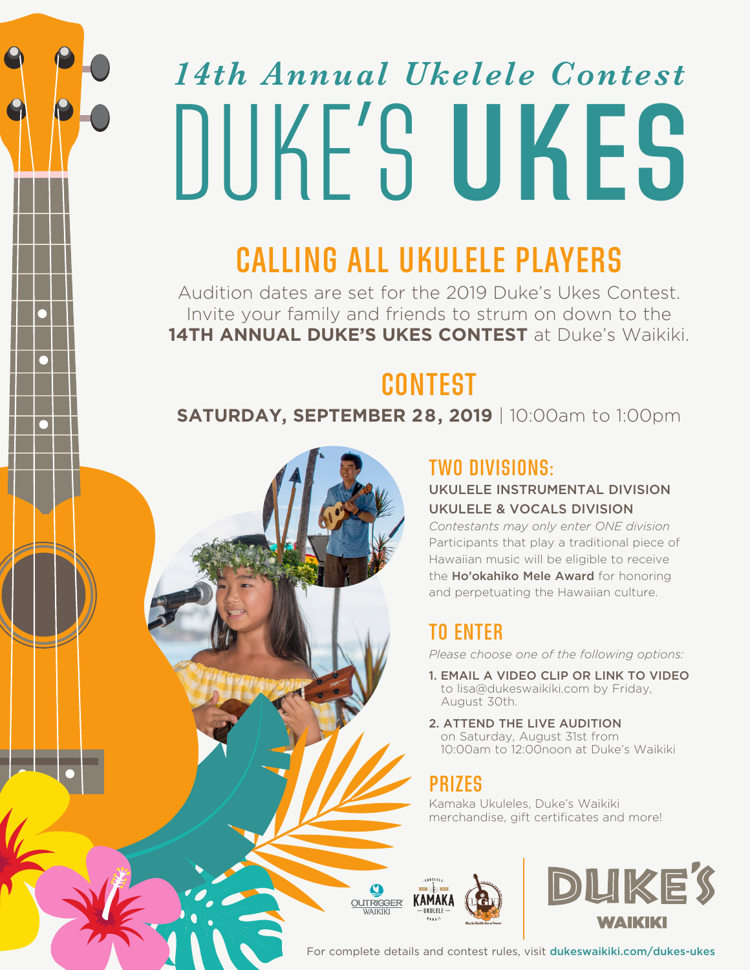# *14th Annual Ukelele Contest*  DUKE'S **UKES**

## **CALLING ALL UKULELE PLAYERS**

Audition dates are set for the 2019 Duke's Ukes Contest. Invite your family and friends to strum on down to the **14TH ANNUAL DUKE'S UKES CONTEST** at Duke's Waikiki.

## **CONTEST**

#### **SATURDAY, SEPTEMBER 28, 2019** | 10:00am to 1:00pm

### **TWO DIVISIONS:**

#### UKULELE INSTRUMENTAL DIVISION UKULELE & VOCALS DIVISION

*Contestants may only enter ONE division* Participants that play a traditional piece of Hawaiian music will be eligible to receive the Ho'okahiko Mele Award for honoring and perpetuating the Hawaiian culture.

## **TO ENTER**

*Please choose one of the following options:*

- 1. EMAIL A VIDEO CLIP OR LINK TO VIDEO to lisa@dukeswaikiki.com by Friday, August 30th.
- 2. ATTEND THE LIVE AUDITION on Saturday, August 31st from 10:00am to 12:00noon at Duke's Waikiki

## **PRIZES**

Kamaka Ukuleles, Duke's Waikiki merchandise, gift certificates and more!





For complete details and contest rules, visit dukeswaikiki.com/dukes-ukes